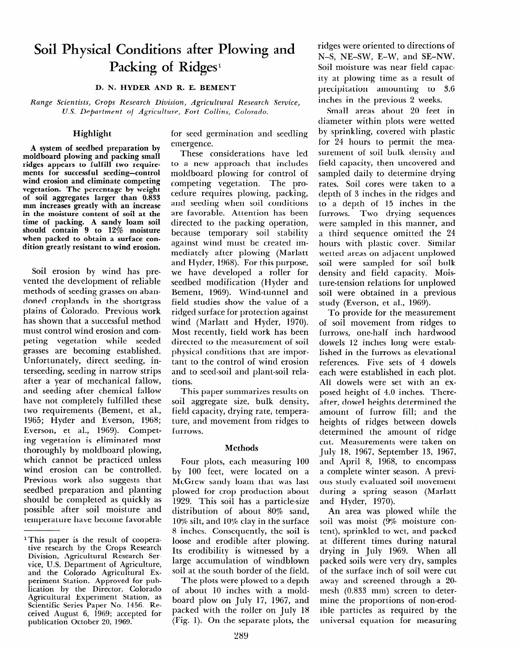# **Soil Physical Conditions after Plowing and**  Packing of Ridges<sup>1</sup>

### D. N. HYDER AND R. E. BEMENT

*Range Scientists, Crops Research Division, Agricultural Research Service, U.S. Department of Agriculture, Fort Collins, Colorado.* 

## **Highlight**

**A system of seedbed preparation by moldboard plowing and packing small ridges appears to fulfill two requirements for successful seeding-control wind erosion and eliminate competing vegetation. The percentage by weight of soil aggregates larger than** *0.833*  **mm increases greatly with an increase in the moisture content of soil at the time of packing. A sandy loam soil should contain 9 to 12% moisture when packed to obtain a surface condition greatly resistant to wind erosion.** 

Soil **erosion** by wind has prevented the development of reliable methods of seeding grasses on abandoned croplands in the shortgrass plains of Colorado. Previous work has shown that a successful method must control wind erosion and competing vegetation while seeded grasses are becoming established. Unfortunately, direct seeding, interseeding, seeding in narrow strips after a year of mechanical fallow, and seeding after chemical fallow have not completely fulfilled these two requirements (Bement, et al., 1965; Hyder and Everson, 1968; Everson, et al., 1969). Competing vegetation is eliminated most thoroughly by moldboard plowing, which cannot be practiced unless wind erosion can be controlled. Previous work also suggests that section with and pagests in secured preparation and planting should be completed as quickly as possible after soil moisture and<br>temperature have become favorable for seed germination and seedling emergence.

These considerations have led to a new approach that includes moldboard plowing for control of competing vegetation. The procedure requires plowing, packing, and seeding when soil conditions are favorable. Attention has been directed to the packing operation, because temporary soil stability against wind must be created immediately after plowing (Marlatt and Hyder, 1968). For this purpose, we have developed a roller for seedbed modification (Hyder and Bement, 1969). Wind-tunnel and field studies show the value of a ridged surface for protection against wind (Marlatt and Hyder, 1970). Most recently, field work has been directed to the measurement of soil physical conditions that are important to the control of wind erosion and to seed-soil and plant-soil relations.

This paper summarizes results on soil aggregate size, bulk density, field capacity, drying rate, temperature, and movement from ridges to furrows.

### Methods

Four plots, each measuring 100 by 100 feet, were located on a  $\frac{1}{2}$  do teed, were followed on a product sancy found that was fas plowed for crop production about<br>1929. This soil has a particle-size  $\frac{1323. \text{ I}}{11}$  in son has a particle-size  $10\%$  silter in the surface in the surface in the surface in the surface in the surface in the surface in the surface in the surface in the surface in the surface in the surface in the surface in the surface in the surfa  $10\%$  silt, and  $10\%$  clay in the surface 8 inches. Consequently, the soil is loose and erodible after plowing. Its erodibility is witnessed by a large accumulation of windblown soil at the south border of the field.

The plots were plowed to a depth of about 10 inches with a moldboard plow on July 17, 1967, and packed with the roller on July 18<br>(Fig. 1). On the separate plots, the

ridges were oriented to directions of N-S, NE-SW, E-W, and SE-NW. Soil moisture was near field capacity at plowing time as a result of precipitation amounting to 3.6 inches in the previous 2 weeks.

Small areas about 20 feet in diameter within plots were wetted by sprinkling, covered with plastic for 24 hours to permit the measurement of soil bulk density and field capacity, then uncovered and sampled daily to determine drying rates. Soil cores were taken to a depth of 3 inches in the ridges and to a depth of 15 inches in the furrows. Two drying sequences were sampled in this manner, and a third sequence omitted the 24 hours with plastic cover. Similar wetted areas on adjacent unplowed soil were sampled for soil bulk density and field capacity. Moisture-tension relations for unplowed soil were obtained in a previous study (Everson, et al., 1969).

To provide for the measurement of soil movement from ridges to furrows, one-half inch hardwood dowels 12 inches long were established in the furrows as elevational references. Five sets of 4 dowels each were established in each plot. All dowels were set with an exposed height of 4.0 inches. Thereafter, dowel heights determined the amount of furrow fill; and the heights of ridges between dowels determined the amount of ridge cut. Measurements were taken on July 18, 1967, September 13, 1967, and April 8, 1968, to encompass and April 0, 1900, to encompas a complete which season. There dus stuaj evantatea son movemen during a spring season (Marlatt and Hyder, 1970).

An area was plowed while the soil was moist (9% moisture content), sprinkled to wet, and packed at different times during natural drying in July 1969. When all packed soils were very dry, samples of the surface inch of soil were cut away and screened through a 20mesh (0.833 mm) screen to determine the proportions of non-erodible particles as required by the<br>universal equation for measuring

lThis paper is the result of coopera-I ms paper is the result of cooper tive research by the Crops Research Division, Agricultural Research Service, U.S. Department of Agriculture, and the Colorado Agricultural Experiment Station. Approved for publication by the Director, Colorado Agricultural Experiment Station, as Scientific Series Paper No. 1456. Received August 6, 1969; accepted for<br>publication October 20, 1969.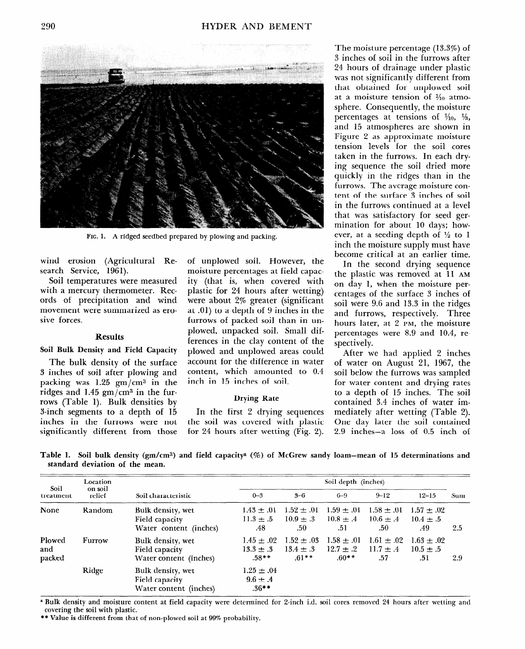

FIG. 1. A ridged seedbed prepared by plowing and packing.

search Service, 1961). moisture percentages at field capac-

with a mercury thermometer. Rec- plastic for 24 hours after wetting) ords of precipitation and wind were about 2% greater (significant movement were summarized as ero- at .Ol) to a depth of 9 inches in the sive forces. The same state of packed soil than in un-

### **Results**

3 inches of soil after plowing and content, which amounted to 0.4 packing was 1.25  $gm/cm^3$  in the inch in 15 inches of soil. ridges and 1.45  $\text{gm/cm}^3$  in the furrows (Table 1). Bulk densities by Drying Rate 3-inch segments to a depth of 15 In the first 2 drying sequences inches in the furrows were not the soil was covered with plastic significantly different from those for 24 hours after wetting (Fig. 2).

wind erosion (Agricultural Re- of unplowed soil. However, the Soil temperatures were measured ity (that is, when covered with plowed, unpacked soil. Small differences in the clay content of the **Soil Bulk Density and Field Capacity** plowed and unplowed areas could The bulk density of the surface account for the difference in water

The moisture percentage (13.3%) of 3 inches of soil in the furrows after 24 hours of drainage under plastic was not significantly different from that obtained for unplowed soil at a moisture tension of **X0** atmosphere. Consequently, the moisture percentages at tensions of  $\frac{1}{10}$ ,  $\frac{1}{3}$ , and 15 atmospheres are shown in Figure 2 as approximate moisture tension levels for the soil cores taken in the furrows. In each drying sequence the soil dried more quickly in the ridges than in the furrows. The average moisture content of the surface 3 inches of soil in the furrows continued at a level that was satisfactory for seed germination for about 10 days; however, at a seeding depth of  $\frac{1}{2}$  to 1 inch the moisture supply must have become critical at an earlier time.

In the second drying sequence the plastic was removed at 11 **AM**  on day 1, when the moisture percentages of the surface 3 inches of soil were 9.6 and 13.3 in the ridges and furrows, respectively. Three hours later, at 2 **PM,** the moisture percentages were 8.9 and 10.4, respectively.

After we had applied 2 inches of water on August 21, 1967, the soil below the furrows was sampled for water content and drying rates to a depth of 15 inches. The soil contained 3.4 inches of water immediately after wetting (Table 2). One day later the soil contained 2.9 inches-a loss of 0.5 inch of

**Table I. Soil bulk density (gm/cms) and field capacitya (%) of McGrew sandy loam-mean of 15 determinations and standard deviation of the mean.** 

|                         | Location          |                                                               | Soil depth (inches)                        |                                             |                                            |                                        |                                        |     |
|-------------------------|-------------------|---------------------------------------------------------------|--------------------------------------------|---------------------------------------------|--------------------------------------------|----------------------------------------|----------------------------------------|-----|
| Soil<br>treatment       | on soil<br>relief | Soil characteristic                                           | $0 - 3$                                    | $3 - 6$                                     | $6 - 9$                                    | $9 - 12$                               | $12 - 15$                              | Sum |
| None                    | Random            | Bulk density, wet<br>Field capacity<br>Water content (inches) | $1.43 \pm .01$<br>$11.3 \pm .5$<br>.48     | $1.52 \pm .01$<br>$10.9 \pm .3$<br>.50      | $1.59 \pm .01$<br>$10.8 \pm .4$<br>-51     | $1.58 \pm .01$<br>$10.6 \pm .4$<br>.50 | $1.57 \pm .02$<br>$10.4 \pm .5$<br>.49 | 2.5 |
| Plowed<br>and<br>packed | Furrow            | Bulk density, wet<br>Field capacity<br>Water content (inches) | $1.45 \pm .02$<br>$13.3 \pm .3$<br>$.58**$ | $1.52 \pm .03$<br>$13.4 \pm .3$<br>$.61***$ | $1.58 \pm .01$<br>$12.7 \pm .2$<br>$.60**$ | $1.61 \pm .02$<br>$11.7 \pm .4$<br>.57 | $1.63 \pm .02$<br>$10.5 \pm .5$<br>.51 | 2.9 |
|                         | Ridge             | Bulk density, wet<br>Field capacity<br>Water content (inches) | $1.25 \pm .04$<br>$9.6 \pm .4$<br>$.36**$  |                                             |                                            |                                        |                                        |     |

**B** Bulk density and moisture content at field capacity were determined for Z-inch included 24 hours after were determined and  $\frac{1}{2}$  hours after were determined 24 hours after wetting and and and and and and and and an *course* with the solution covering the soil with plastic.<br>\*\* Value is different from that of non-plowed soil at 99% probability.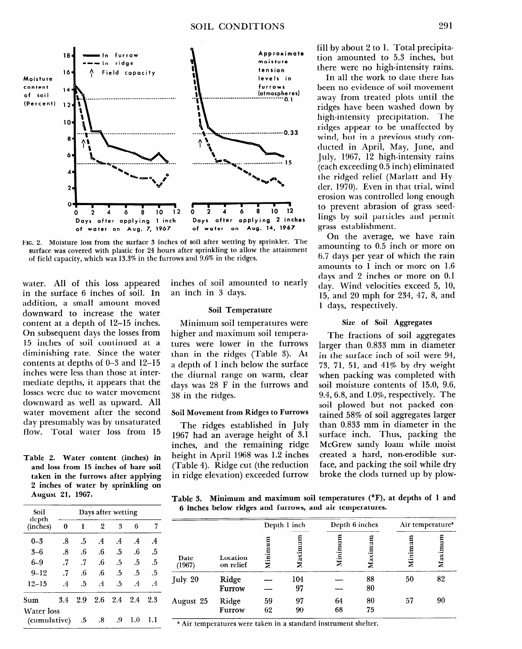

**FIG. 2. Moisture loss from the surface 3 inches of soil after wetting by sprinkler. The surface was covered with plastic for 24 hours after sprinkling to allow the attainment of field capacity, which was 13.3% in the furrows and 9.6% in the ridges.** 

**water.** All of this loss appeared in the surface 6 inches of soil. In addition, a small amount moved downward to increase the water content at a depth of 12-15 inches. On subsequent days the losses from 15 inches of soil continued at a diminishing rate. Since the water contents at depths of O-3 and 12-15 inches were less than those at intermediate depths, it appears that the losses were due to water movement downward as well as upward. All water movement after the second day presumably was by unsaturated flow. Total water loss from 15

**Table 2. Water content (inches) in and loss from 15 inches of bare soil taken in the furrows after applying**  ranch in the furtows after applying **AUGUST 21, 1968.** 

| Soil                              | Days after wetting |     |               |         |               |           |  |  |
|-----------------------------------|--------------------|-----|---------------|---------|---------------|-----------|--|--|
| depth<br>(inches)                 | 0                  | ı   | 2             | 3       | 6             | 7         |  |  |
| $_{0-3}$                          | .8                 | .5  | $\mathcal{A}$ | $\cdot$ | $\mathcal{A}$ | $\cdot$   |  |  |
| $3 - 6$                           | .8                 | .6  | .6            | .5      | .6            | .5        |  |  |
| $6 - 9$                           | .7                 | .7  | .6            | .5      | .5            | .5        |  |  |
| $9 - 12$                          | .7                 | .6  | .6            | .5      | .5            | .5        |  |  |
| $12 - 15$                         | $\overline{A}$     | .5  | $\cdot$ 4     | .5      | $\cdot$ 4     | $\cdot$ 4 |  |  |
| 3.4<br>Sum                        |                    | 2.9 | 2.6           | 2.4     | 2.4           | 2.3       |  |  |
| <b>Water</b> loss<br>(cumulative) | .5                 | .8  | .9            | 1.0     | 1.1           |           |  |  |

inches of soil amounted to nearly an inch in 3 days.

### Soil Temperature

Minimum soil temperatures were higher and maximum soil temperatures were lower in the furrows than in the ridges (Table 3). At a depth of 1 inch below the surface the diurnal range on warm, clear days was 28 F in the furrows and 38 in the ridges.

### **Soil Movement from Ridges to Furrows**

**The** ridges established in July 1967 had an average height of 3.1 inches, and the remaining ridge height in April 1968 was 1.2 inches  $(\text{m})$ .  $\text{m}$   $\text{m}$   $\text{m}$ .  $\text{m}$  $\frac{1}{2}$  radic 1). Ridge car (the reduction

fill by about 2 to 1. Total precipitation amounted to 5.3 inches, but there were no high-intensity rains.

In all the work to date there has been no evidence of soil movement away from treated plots until the ridges have been washed down by high-intensity precipitation. The ridges appear to be unaffected by wind, but in a previous study conducted in April, May, June, and July, 1967, 12 high-intensity rains (each exceeding 0.5 inch) eliminated the ridged relief (Marlatt and Hyder, 1970). Even in that trial, wind erosion was controlled long enough to prevent abrasion of grass seedlings by soil particles and permit grass establishment.

On the average, we have rain amounting to 0.5 inch or more on 6.7 days per year of which the rain amounts to 1 inch or more on 1.6 days and 2 inches or more on 0.1 day. Wind velocities exceed 5, 10, 15, and 20 mph for 234, 47, 8, and 1 days, respectively.

## **Size of Soil Aggregates**

The fractions of soil aggregates larger than 0.833 mm in diameter in the surface inch of soil were 94, **73,** 71, 51, and 41% by dry weight when packing was completed with soil moisture contents of 15.0, 9.6,  $9.4, 6.8,$  and  $1.0\%$ , respectively. The soil plowed but not packed contained 58% of soil aggregates larger than 0.833 mm in diameter in the surface inch. Thus, packing the McGrew sandy loam while moist created a hard, non-erodible surface, and packing the soil while dry broke the clods turned up by plow-

**Table 3. Minimum and maximum soil temperatures (OF), at depths of 1 and**  abit 3. **Millian and maximum** son temperatures (x

|                | Location<br>on relief | Depth 1 inch |         | Depth 6 inches |         | Air temperature <sup>a</sup> |         |
|----------------|-----------------------|--------------|---------|----------------|---------|------------------------------|---------|
| Date<br>(1967) |                       | Minim        | Maximum | Minimum        | Maximum | mun<br>Minim                 | Maximum |
| July 20        | Ridge                 |              | 104     |                | 88      | 50                           | 82      |
|                | Furrow                |              | 97      |                | 80      |                              |         |
| August 25      | Ridge                 | 59           | 97      | 64             | 80      | 57                           | 90      |
|                | Furrow                | 62           | 90      | 68             | 75      |                              |         |